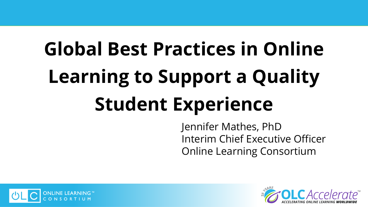# **Global Best Practices in Online Learning to Support a Quality Student Experience**

Jennifer Mathes, PhD Interim Chief Executive Officer Online Learning Consortium



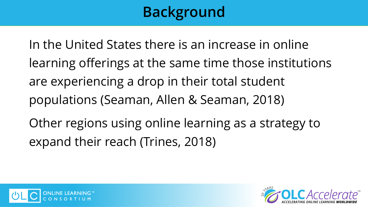## Background

In the United States there is an increase in online learning offerings at the same time those institutions are experiencing a drop in their total student populations (Seaman, Allen & Seaman, 2018)

Other regions using online learning as a strategy to expand their reach (Trines, 2018)



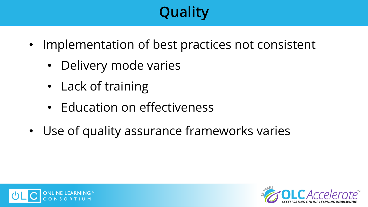## Quality

- Implementation of best practices not consistent
	- Delivery mode varies
	- Lack of training
	- Education on effectiveness
- Use of quality assurance frameworks varies



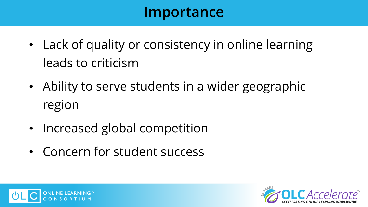#### Importance

- Lack of quality or consistency in online learning leads to criticism
- Ability to serve students in a wider geographic region
- Increased global competition
- Concern for student success



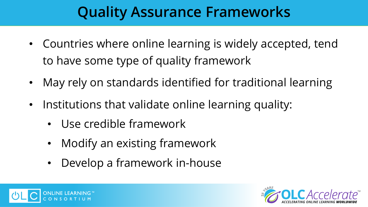## Quality Assurance Frameworks

- Countries where online learning is widely accepted, tend to have some type of quality framework
- May rely on standards identified for traditional learning
- Institutions that validate online learning quality:
	- Use credible framework
	- Modify an existing framework
	- Develop a framework in-house



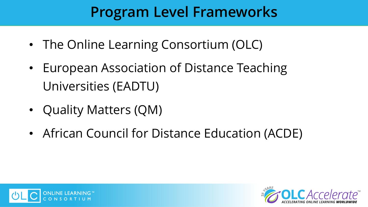### Program Level Frameworks

- The Online Learning Consortium (OLC)
- European Association of Distance Teaching Universities (EADTU)
- Quality Matters (QM)
- African Council for Distance Education (ACDE)



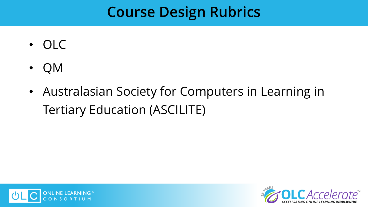## Course Design Rubrics

- OLC
- QM
- Australasian Society for Computers in Learning in Tertiary Education (ASCILITE)



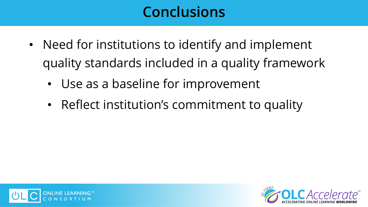### **Conclusions**

- Need for institutions to identify and implement quality standards included in a quality framework
	- Use as a baseline for improvement
	- Reflect institution's commitment to quality



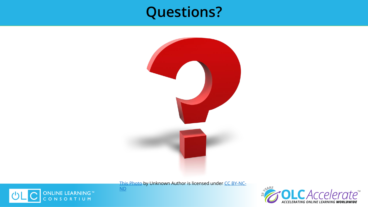#### Questions?



[This Photo](http://www.thecryptocrew.com/2013/03/a-list-of-questionable-publishers.html) [by Unknown Author is licensed under CC BY-NC-](https://creativecommons.org/licenses/by-nc-nd/3.0/)ND